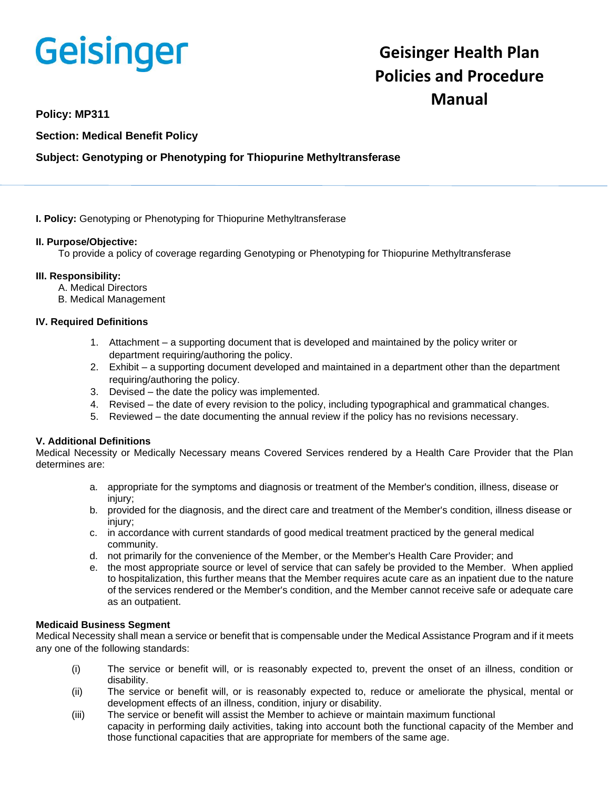# Geisinger

# **Geisinger Health Plan Policies and Procedure Manual**

# **Policy: MP311**

**Section: Medical Benefit Policy**

# **Subject: Genotyping or Phenotyping for Thiopurine Methyltransferase**

**I. Policy:** Genotyping or Phenotyping for Thiopurine Methyltransferase

# **II. Purpose/Objective:**

To provide a policy of coverage regarding Genotyping or Phenotyping for Thiopurine Methyltransferase

# **III. Responsibility:**

- A. Medical Directors
- B. Medical Management

# **IV. Required Definitions**

- 1. Attachment a supporting document that is developed and maintained by the policy writer or department requiring/authoring the policy.
- 2. Exhibit a supporting document developed and maintained in a department other than the department requiring/authoring the policy.
- 3. Devised the date the policy was implemented.
- 4. Revised the date of every revision to the policy, including typographical and grammatical changes.
- 5. Reviewed the date documenting the annual review if the policy has no revisions necessary.

# **V. Additional Definitions**

Medical Necessity or Medically Necessary means Covered Services rendered by a Health Care Provider that the Plan determines are:

- a. appropriate for the symptoms and diagnosis or treatment of the Member's condition, illness, disease or injury;
- b. provided for the diagnosis, and the direct care and treatment of the Member's condition, illness disease or injury;
- c. in accordance with current standards of good medical treatment practiced by the general medical community.
- d. not primarily for the convenience of the Member, or the Member's Health Care Provider; and
- e. the most appropriate source or level of service that can safely be provided to the Member. When applied to hospitalization, this further means that the Member requires acute care as an inpatient due to the nature of the services rendered or the Member's condition, and the Member cannot receive safe or adequate care as an outpatient.

#### **Medicaid Business Segment**

Medical Necessity shall mean a service or benefit that is compensable under the Medical Assistance Program and if it meets any one of the following standards:

- (i) The service or benefit will, or is reasonably expected to, prevent the onset of an illness, condition or disability.
- (ii) The service or benefit will, or is reasonably expected to, reduce or ameliorate the physical, mental or development effects of an illness, condition, injury or disability.
- (iii) The service or benefit will assist the Member to achieve or maintain maximum functional capacity in performing daily activities, taking into account both the functional capacity of the Member and those functional capacities that are appropriate for members of the same age.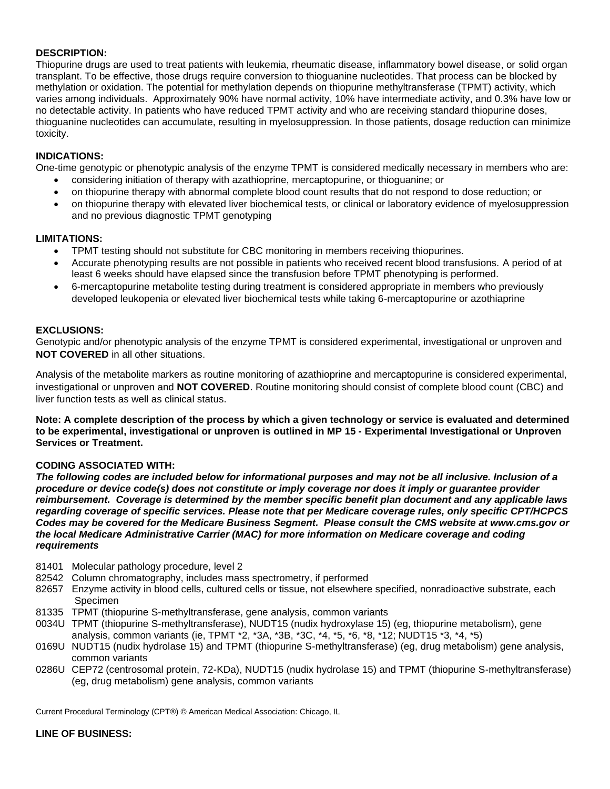# **DESCRIPTION:**

Thiopurine drugs are used to treat patients with leukemia, rheumatic disease, inflammatory bowel disease, or solid organ transplant. To be effective, those drugs require conversion to thioguanine nucleotides. That process can be blocked by methylation or oxidation. The potential for methylation depends on thiopurine methyltransferase (TPMT) activity, which varies among individuals. Approximately 90% have normal activity, 10% have intermediate activity, and 0.3% have low or no detectable activity. In patients who have reduced TPMT activity and who are receiving standard thiopurine doses, thioguanine nucleotides can accumulate, resulting in myelosuppression. In those patients, dosage reduction can minimize toxicity.

# **INDICATIONS:**

One-time genotypic or phenotypic analysis of the enzyme TPMT is considered medically necessary in members who are:

- considering initiation of therapy with azathioprine, mercaptopurine, or thioguanine; or
- on thiopurine therapy with abnormal complete blood count results that do not respond to dose reduction; or
- on thiopurine therapy with elevated liver biochemical tests, or clinical or laboratory evidence of myelosuppression and no previous diagnostic TPMT genotyping

# **LIMITATIONS:**

- TPMT testing should not substitute for CBC monitoring in members receiving thiopurines.
- Accurate phenotyping results are not possible in patients who received recent blood transfusions. A period of at least 6 weeks should have elapsed since the transfusion before TPMT phenotyping is performed.
- 6-mercaptopurine metabolite testing during treatment is considered appropriate in members who previously developed leukopenia or elevated liver biochemical tests while taking 6-mercaptopurine or azothiaprine

#### **EXCLUSIONS:**

Genotypic and/or phenotypic analysis of the enzyme TPMT is considered experimental, investigational or unproven and **NOT COVERED** in all other situations.

Analysis of the metabolite markers as routine monitoring of azathioprine and mercaptopurine is considered experimental, investigational or unproven and **NOT COVERED**. Routine monitoring should consist of complete blood count (CBC) and liver function tests as well as clinical status.

**Note: A complete description of the process by which a given technology or service is evaluated and determined to be experimental, investigational or unproven is outlined in MP 15 - Experimental Investigational or Unproven Services or Treatment.**

#### **CODING ASSOCIATED WITH:**

*The following codes are included below for informational purposes and may not be all inclusive. Inclusion of a procedure or device code(s) does not constitute or imply coverage nor does it imply or guarantee provider reimbursement. Coverage is determined by the member specific benefit plan document and any applicable laws regarding coverage of specific services. Please note that per Medicare coverage rules, only specific CPT/HCPCS Codes may be covered for the Medicare Business Segment. Please consult the CMS website at www.cms.gov or the local Medicare Administrative Carrier (MAC) for more information on Medicare coverage and coding requirements*

- 81401 Molecular pathology procedure, level 2
- 82542 Column chromatography, includes mass spectrometry, if performed
- 82657 Enzyme activity in blood cells, cultured cells or tissue, not elsewhere specified, nonradioactive substrate, each Specimen
- 81335 TPMT (thiopurine S-methyltransferase, gene analysis, common variants
- 0034U TPMT (thiopurine S-methyltransferase), NUDT15 (nudix hydroxylase 15) (eg, thiopurine metabolism), gene analysis, common variants (ie, TPMT \*2, \*3A, \*3B, \*3C, \*4, \*5, \*6, \*8, \*12; NUDT15 \*3, \*4, \*5)
- 0169U NUDT15 (nudix hydrolase 15) and TPMT (thiopurine S-methyltransferase) (eg, drug metabolism) gene analysis, common variants
- 0286U CEP72 (centrosomal protein, 72-KDa), NUDT15 (nudix hydrolase 15) and TPMT (thiopurine S-methyltransferase) (eg, drug metabolism) gene analysis, common variants

Current Procedural Terminology (CPT®) © American Medical Association: Chicago, IL

#### **LINE OF BUSINESS:**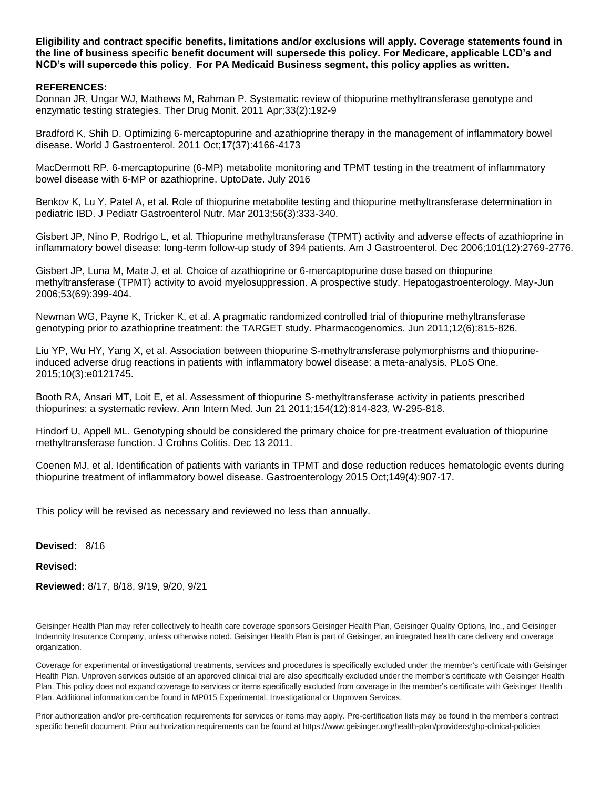**Eligibility and contract specific benefits, limitations and/or exclusions will apply. Coverage statements found in the line of business specific benefit document will supersede this policy. For Medicare, applicable LCD's and NCD's will supercede this policy**. **For PA Medicaid Business segment, this policy applies as written.**

#### **REFERENCES:**

Donnan JR, Ungar WJ, Mathews M, Rahman P. Systematic review of thiopurine methyltransferase genotype and enzymatic testing strategies. Ther Drug Monit. 2011 Apr;33(2):192-9

Bradford K, Shih D. Optimizing 6-mercaptopurine and azathioprine therapy in the management of inflammatory bowel disease. World J Gastroenterol. 2011 Oct;17(37):4166-4173

MacDermott RP. 6-mercaptopurine (6-MP) metabolite monitoring and TPMT testing in the treatment of inflammatory bowel disease with 6-MP or azathioprine. UptoDate. July 2016

Benkov K, Lu Y, Patel A, et al. Role of thiopurine metabolite testing and thiopurine methyltransferase determination in pediatric IBD. J Pediatr Gastroenterol Nutr. Mar 2013;56(3):333-340.

Gisbert JP, Nino P, Rodrigo L, et al. Thiopurine methyltransferase (TPMT) activity and adverse effects of azathioprine in inflammatory bowel disease: long-term follow-up study of 394 patients. Am J Gastroenterol. Dec 2006;101(12):2769-2776.

Gisbert JP, Luna M, Mate J, et al. Choice of azathioprine or 6-mercaptopurine dose based on thiopurine methyltransferase (TPMT) activity to avoid myelosuppression. A prospective study. Hepatogastroenterology. May-Jun 2006;53(69):399-404.

Newman WG, Payne K, Tricker K, et al. A pragmatic randomized controlled trial of thiopurine methyltransferase genotyping prior to azathioprine treatment: the TARGET study. Pharmacogenomics. Jun 2011;12(6):815-826.

Liu YP, Wu HY, Yang X, et al. Association between thiopurine S-methyltransferase polymorphisms and thiopurineinduced adverse drug reactions in patients with inflammatory bowel disease: a meta-analysis. PLoS One. 2015;10(3):e0121745.

Booth RA, Ansari MT, Loit E, et al. Assessment of thiopurine S-methyltransferase activity in patients prescribed thiopurines: a systematic review. Ann Intern Med. Jun 21 2011;154(12):814-823, W-295-818.

Hindorf U, Appell ML. Genotyping should be considered the primary choice for pre-treatment evaluation of thiopurine methyltransferase function. J Crohns Colitis. Dec 13 2011.

Coenen MJ, et al. Identification of patients with variants in TPMT and dose reduction reduces hematologic events during thiopurine treatment of inflammatory bowel disease. Gastroenterology 2015 Oct;149(4):907-17.

This policy will be revised as necessary and reviewed no less than annually.

**Devised:** 8/16

**Revised:**

**Reviewed:** 8/17, 8/18, 9/19, 9/20, 9/21

Geisinger Health Plan may refer collectively to health care coverage sponsors Geisinger Health Plan, Geisinger Quality Options, Inc., and Geisinger Indemnity Insurance Company, unless otherwise noted. Geisinger Health Plan is part of Geisinger, an integrated health care delivery and coverage organization.

Coverage for experimental or investigational treatments, services and procedures is specifically excluded under the member's certificate with Geisinger Health Plan. Unproven services outside of an approved clinical trial are also specifically excluded under the member's certificate with Geisinger Health Plan. This policy does not expand coverage to services or items specifically excluded from coverage in the member's certificate with Geisinger Health Plan. Additional information can be found in MP015 Experimental, Investigational or Unproven Services.

Prior authorization and/or pre-certification requirements for services or items may apply. Pre-certification lists may be found in the member's contract specific benefit document. Prior authorization requirements can be found at https://www.geisinger.org/health-plan/providers/ghp-clinical-policies